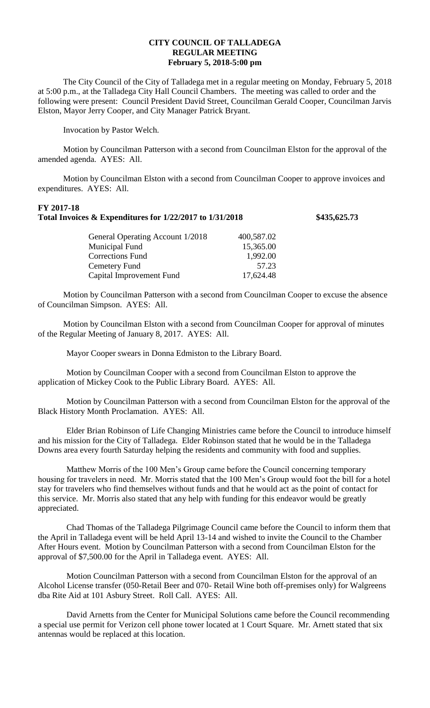## **CITY COUNCIL OF TALLADEGA REGULAR MEETING February 5, 2018-5:00 pm**

The City Council of the City of Talladega met in a regular meeting on Monday, February 5, 2018 at 5:00 p.m., at the Talladega City Hall Council Chambers. The meeting was called to order and the following were present: Council President David Street, Councilman Gerald Cooper, Councilman Jarvis Elston, Mayor Jerry Cooper, and City Manager Patrick Bryant.

Invocation by Pastor Welch.

Motion by Councilman Patterson with a second from Councilman Elston for the approval of the amended agenda. AYES: All.

Motion by Councilman Elston with a second from Councilman Cooper to approve invoices and expenditures. AYES: All.

## **FY 2017-18 Total Invoices & Expenditures for 1/22/2017 to 1/31/2018 \$435,625.73**

General Operating Account 1/2018 400,587.02 Municipal Fund 15,365.00 Corrections Fund 1,992.00 Cemetery Fund 57.23 Capital Improvement Fund 17,624.48

Motion by Councilman Patterson with a second from Councilman Cooper to excuse the absence of Councilman Simpson. AYES: All.

Motion by Councilman Elston with a second from Councilman Cooper for approval of minutes of the Regular Meeting of January 8, 2017. AYES: All.

Mayor Cooper swears in Donna Edmiston to the Library Board.

Motion by Councilman Cooper with a second from Councilman Elston to approve the application of Mickey Cook to the Public Library Board. AYES: All.

Motion by Councilman Patterson with a second from Councilman Elston for the approval of the Black History Month Proclamation. AYES: All.

Elder Brian Robinson of Life Changing Ministries came before the Council to introduce himself and his mission for the City of Talladega. Elder Robinson stated that he would be in the Talladega Downs area every fourth Saturday helping the residents and community with food and supplies.

Matthew Morris of the 100 Men's Group came before the Council concerning temporary housing for travelers in need. Mr. Morris stated that the 100 Men's Group would foot the bill for a hotel stay for travelers who find themselves without funds and that he would act as the point of contact for this service. Mr. Morris also stated that any help with funding for this endeavor would be greatly appreciated.

Chad Thomas of the Talladega Pilgrimage Council came before the Council to inform them that the April in Talladega event will be held April 13-14 and wished to invite the Council to the Chamber After Hours event. Motion by Councilman Patterson with a second from Councilman Elston for the approval of \$7,500.00 for the April in Talladega event. AYES: All.

Motion Councilman Patterson with a second from Councilman Elston for the approval of an Alcohol License transfer (050-Retail Beer and 070- Retail Wine both off-premises only) for Walgreens dba Rite Aid at 101 Asbury Street. Roll Call. AYES: All.

David Arnetts from the Center for Municipal Solutions came before the Council recommending a special use permit for Verizon cell phone tower located at 1 Court Square. Mr. Arnett stated that six antennas would be replaced at this location.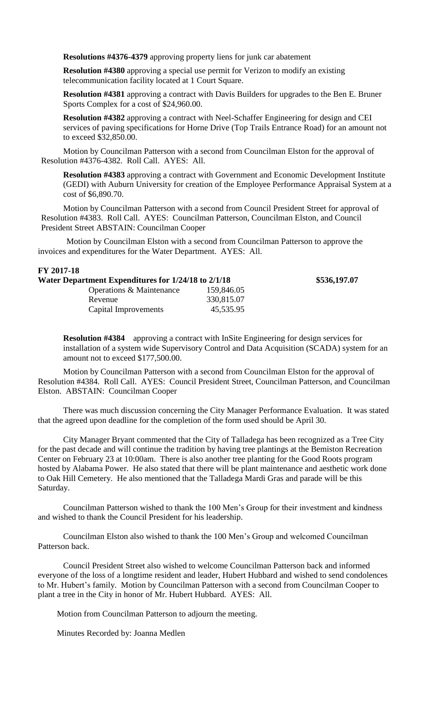**Resolutions #4376-4379** approving property liens for junk car abatement

**Resolution #4380** approving a special use permit for Verizon to modify an existing telecommunication facility located at 1 Court Square.

**Resolution #4381** approving a contract with Davis Builders for upgrades to the Ben E. Bruner Sports Complex for a cost of \$24,960.00.

**Resolution #4382** approving a contract with Neel-Schaffer Engineering for design and CEI services of paving specifications for Horne Drive (Top Trails Entrance Road) for an amount not to exceed \$32,850.00.

Motion by Councilman Patterson with a second from Councilman Elston for the approval of Resolution #4376-4382. Roll Call. AYES: All.

**Resolution #4383** approving a contract with Government and Economic Development Institute (GEDI) with Auburn University for creation of the Employee Performance Appraisal System at a cost of \$6,890.70.

Motion by Councilman Patterson with a second from Council President Street for approval of Resolution #4383. Roll Call. AYES: Councilman Patterson, Councilman Elston, and Council President Street ABSTAIN: Councilman Cooper

Motion by Councilman Elston with a second from Councilman Patterson to approve the invoices and expenditures for the Water Department. AYES: All.

## **FY 2017-18**

| Water Department Expenditures for 1/24/18 to 2/1/18 |            | \$536,197.07 |
|-----------------------------------------------------|------------|--------------|
| Operations & Maintenance                            | 159,846.05 |              |
| Revenue                                             | 330,815.07 |              |
| Capital Improvements                                | 45,535.95  |              |

**Resolution #4384** approving a contract with InSite Engineering for design services for installation of a system wide Supervisory Control and Data Acquisition (SCADA) system for an amount not to exceed \$177,500.00.

Motion by Councilman Patterson with a second from Councilman Elston for the approval of Resolution #4384. Roll Call. AYES: Council President Street, Councilman Patterson, and Councilman Elston. ABSTAIN: Councilman Cooper

There was much discussion concerning the City Manager Performance Evaluation. It was stated that the agreed upon deadline for the completion of the form used should be April 30.

City Manager Bryant commented that the City of Talladega has been recognized as a Tree City for the past decade and will continue the tradition by having tree plantings at the Bemiston Recreation Center on February 23 at 10:00am. There is also another tree planting for the Good Roots program hosted by Alabama Power. He also stated that there will be plant maintenance and aesthetic work done to Oak Hill Cemetery. He also mentioned that the Talladega Mardi Gras and parade will be this Saturday.

Councilman Patterson wished to thank the 100 Men's Group for their investment and kindness and wished to thank the Council President for his leadership.

Councilman Elston also wished to thank the 100 Men's Group and welcomed Councilman Patterson back.

Council President Street also wished to welcome Councilman Patterson back and informed everyone of the loss of a longtime resident and leader, Hubert Hubbard and wished to send condolences to Mr. Hubert's family. Motion by Councilman Patterson with a second from Councilman Cooper to plant a tree in the City in honor of Mr. Hubert Hubbard. AYES: All.

Motion from Councilman Patterson to adjourn the meeting.

Minutes Recorded by: Joanna Medlen